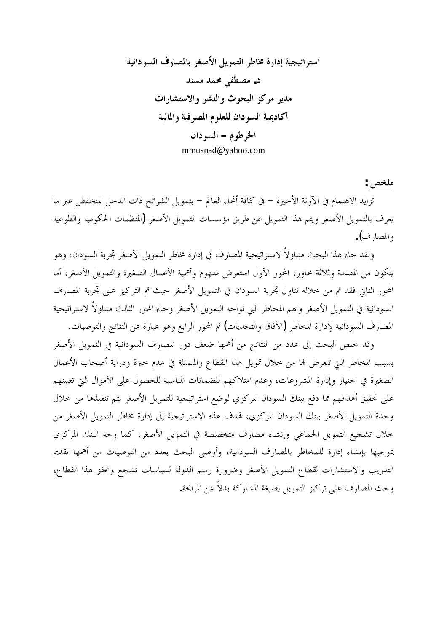استر اتيجية إدارة مخاطر التمويل الأصغر بالمصارف السودانية د. مصطفی محمد مسند مديو مركز البحوث والنشر والاستشارات أكاديمية السودان للعلوم المصر فية والمالية **ǹơƽȂLjdzơ –ǵȂǗǂŬơ** [mmusnad@yahoo.com](mailto:mmusnad@yahoo.com)

ملخص :

تزايد الاهتمام في الآوِنة الأخيرة – في كافة أنحاء العالم – بتمويل الشرائح ذات الدخل المنخفض عبر ما يعرف بالتمويل الأصغر ويتم هذا التمويل عن طريق مؤسسات التمويل الأصغر (المنظمات الحكومية والطوعية والمصارف**)**.

ولقد جاء هذا البحث متناولاً لاستراتيجية المصارف في إدارة مخاطر التمويل الأصغر تجربة السودان، وهو يتكون من المقدمة وثلاثة محاور، المحور الأول استعرض مفهوم وأهمية الأعمال الصغيرة والتمويل الأصغر، أما المحور الثاني فقد تم من حلاله تناول تجربة السودان في التمويل الأصغر حيث تم التركيز على تجربة المصارف السودانية في التمويل الأصغر واهم المخاطر التي تواحه التمويل الأصغر وحاء المحور الثالث متناولاً لاستراتيجية المصارف السودانية لإدارة المخاطر (الآفاق والتحديات) ثم المحور الرابع وهو عبارة عن النتائج والتوصيات.

وقد خلص البحث إلى عدد من النتائج من أهمها ضعف دور المصارف السودانية في التمويل الأصغر بسبب المخاطر التي تتعرض لها من خلال تمويل هذا القطاع والمتمثلة في عدم خبرة ودراية أصحاب الأعمال الصغيرة في اختيار وإدارة المشروعات، وعدم امتلاكهم للضمانات المناسبة للحصول على الأموال التي تعيينهم على تحقيق أهدافهم مما دفع ببنك السودان المركزي لوضع استراتيجية للتمويل الأصغر يتم تنفيذها من خلال وحدة التمويل الأصغر ببنك السودان المركزي، تمدف هذه الاستراتيجية إلى إدارة مخاطر التمويل الأصغر من خلال تشجيع التمويل الجماعي وإنشاء مصارف متخصصة في التمويل الأصغر، كما وجه البنك المركزي عوجبها بإنشاء إدارة للمخاطر بالمصارف السودانية، وأوصى البحث بعدد من التوصيات من أهمها تقديم التدريب والاستشارات لقطاع التمويل الأصغر وضرورة رسم الدولة لسياسات تشجع وتحفز هذا القطاع، وحث المصارف على تركيز التمويل بصيغة المشاركة بدلاً عن المرابحة.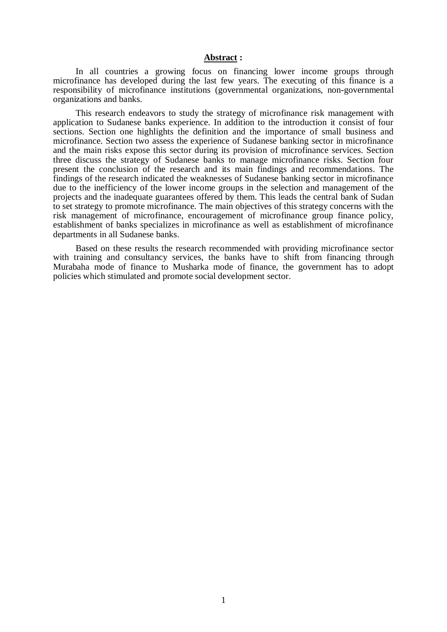#### **Abstract :**

In all countries a growing focus on financing lower income groups through microfinance has developed during the last few years. The executing of this finance is a responsibility of microfinance institutions (governmental organizations, non-governmental organizations and banks.

This research endeavors to study the strategy of microfinance risk management with application to Sudanese banks experience. In addition to the introduction it consist of four sections. Section one highlights the definition and the importance of small business and microfinance. Section two assess the experience of Sudanese banking sector in microfinance and the main risks expose this sector during its provision of microfinance services. Section three discuss the strategy of Sudanese banks to manage microfinance risks. Section four present the conclusion of the research and its main findings and recommendations. The findings of the research indicated the weaknesses of Sudanese banking sector in microfinance due to the inefficiency of the lower income groups in the selection and management of the projects and the inadequate guarantees offered by them. This leads the central bank of Sudan to set strategy to promote microfinance. The main objectives of this strategy concerns with the risk management of microfinance, encouragement of microfinance group finance policy, establishment of banks specializes in microfinance as well as establishment of microfinance departments in all Sudanese banks.

Based on these results the research recommended with providing microfinance sector with training and consultancy services, the banks have to shift from financing through Murabaha mode of finance to Musharka mode of finance, the government has to adopt policies which stimulated and promote social development sector.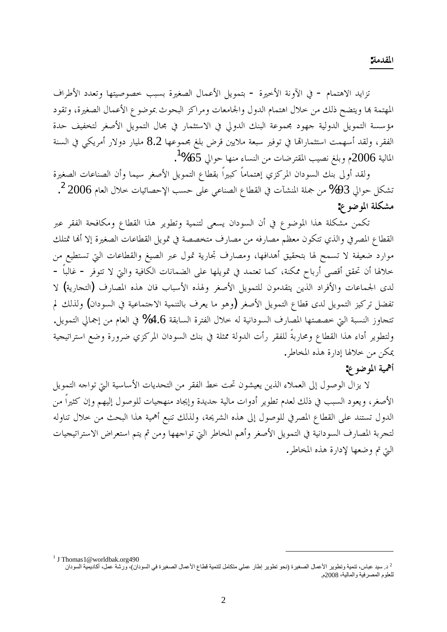**:ƨǷƾǬŭơ**

تزايد الاهتمام - في الآونة الأخيرة - بتمويل الأعمال الصغيرة بسبب خصوصيتها وتعدد الأطراف المهتمة بها ويتضح ذلك من خلال اهتمام الدول والجامعات ومراكز البحوث بموضوع الأعمال الصغيرة، وتقود مؤسسة التمويل الدولية جهود مجموعة البنك الدولي في الاستثمار في مجال التمويل الأصغر لتخفيف حدة الفقر، ولقد أسهمت استثماراتها في توفير سبعة ملايين قرض بلغ مجموعها 8.2 مليار دولار أمريكي في السنة  $\mathrm{^{13}}$ المالية 2006م وبلغ نصيب المقترضات من النساء منها حوالي 65%

ولقد أولى بنك السودان المركزي إهتماماً كبيراً بقطاع التمويل الأصغر سيما وأن الصناعات الصغيرة تشكل حوالي 93% من جملة المنشآت في القطاع الصناعي على حسب الإحصائيات خلال العام 2006 <sup>2</sup>. مشكلة الموضوع:

تكمن مشكلة هذا الموضوع في أن السودان يسعى لتنمية وتطوير هذا القطاع ومكافحة الفقر عبر القطاع المصرفي والذي تتكون معظم مصارفه من مصارف متخصصة في تمويل القطاعات الصغيرة إلا أنها تمتلك موارد ضعيفة لا تسمح لها بتحقيق أهدافها، ومصارف تحارية تمول عبر الصيغ والقطاعات التي تستطيع من خلالها أن تحقق أقصى أرباح ممكنة، كما تعتمد في تمويلها على الضمانات الكافية والتي لا تتوفر – غالباً – لدى الجماعات والأفراد الذين يتقدمون للتمويل الأصغر ولهذه الأسباب فان هذه المصارف (التجارية) لا تفضل تركيز التمويل لدى قطاع التمويل الأصغر (وهو ما يعرف بالتنمية الاحتماعية في السودان) ولذلك لم تتجاوز النسبة التي خصصتها المصارف السودانية له حلال الفترة السابقة 4.6% في العام من إجمالي التمويل. ولتطوير أداء هذا القطاع ومحاربةً للفقر رأت الدولة ممثلة في بنك السودان المركزي ضرورة وضع استراتيجية يمكن من خلالها إدارة هذه المخاطر.

## أهمية الموضوع:

لا يزال الوصول إلى العملاء الذين يعيشون تحت خط الفقر من التحديات الأساسية التي تواجه التمويل الأصغر، ويعود السبب في ذلك لعدم تطوير أدوات مالية جديدة وإيجاد منهجيات للوصول إليهم وإن كثيراً من الدول تستند على القطاع المصرفي للوصول إلى هذه الشريحة، ولذلك تنبع أهمية هذا البحث من حلال تناوله لتجربة المصارف السودانية في التمويل الأصغر وأهم المخاطر التي تواجهها ومن ثم يتم استعراض الاستراتيجيات التي تم وضعها لإدارة هذه المخاطر.

<sup>&</sup>lt;sup>1</sup> J Thomas 1 @worldbak.org490

<sup>&</sup>lt;sup>2</sup> د. سيد عباس، تنمية وتطوير الأعمال الصغيرة (نحو تطوير إطار عملي متكامل لتنمية قطاع الأعمال الصغيرة في السودان)، ورشة عمل، أكاديمية السودان للعلوم المصرفية والمالية، 2008م.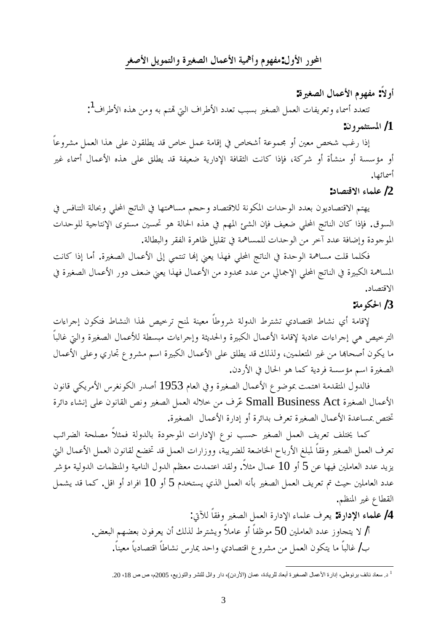### المحور الأول:مفهوم وأهمية الأعمال الصغيرة والتمويل الأصغر

أو لاً: مفهوم الأعمال الصغيرة:

تتعدد أسماء وتعريفات العمل الصغير بسبب تعدد الأطراف التي تمتم به ومن هذه الأطراف<sup>1</sup>: **:ǹȁǂǸưƬLjŭơ /1**

إذا رغب شخص معين أو مجموعة أشخاص في إقامة عمل خاص قد يطلقون على هذا العمل مشروعاً أو مؤسسة أو منشأة أو شركة، فإذا كانت الثقافة الإدارية ضعيفة قد يطلق على هذه الأعمال أسماء غير أسمائها.

**:ƽƢǐƬǫȏơƔƢǸǴǟ /2**

يهتم الاقتصاديون بعدد الوحدات المكونة للاقتصاد وحجم مساهمتها في الناتج المحلي وبحالة التنافس في السوق. فإذا كان الناتج المحلي ضعيف فإن الشئ المهم في هذه الحالة هو تحسين مستوى الإنتاجية للوحدات الموجودة وإضافة عدد آخر من الوحدات للمساهمة في تقليل ظاهرة الفقر والبطالة.

فكلما قلت مساهمة الوحدة في الناتج المحلي فهذا يعني إلها تنتمي إلى الأعمال الصغيرة. أما إذا كانت المساهمة الكبيرة في الناتج المحلي الإجمالي من عدد محدود من الأعمال فهذا يعني ضعف دور الأعمال الصغيرة في الاقتصاد.

**:ƨǷȂǰūơ /3**

لإقامة أي نشاط اقتصادي تشترط الدولة شروطاً معينة لمنح ترخيص لهذا النشاط فتكون إجراءات الترخيص هى إجراءات عادية لإقامة الأعمال الكبيرة والحديثة وإجراءات مبسطة للأعمال الصغيرة والتي غالباً ما يكون أصحاها من غير المتعلمين، ولذلك قد يطلق على الأعمال الكبيرة اسم مشروع تحاري وعلى الأعمال الصغيرة اسم مؤسسة فردية كما هو الحال في الأردن.

فالدول المتقدمة اهتمت بموضوع الأعمال الصغيرة وفي العام 1953 أصدر الكونغرس الأمريكي قانون الأعمال الصغيرة Small Business Act عّرف من حلاله العمل الصغير ونص القانون على إنشاء دائرة تختص بمساعدة الأعمال الصغيرة تعرف بدائرة أو إدارة الأعمال الصغيرة.

كما يختلف تعريف العمل الصغير حسب نوع الإدارات الموجودة بالدولة فمثلاً مصلحة الضرائب تعرف العمل الصغير وفقاً لمبلغ الأرباح الخاضعة للضريبة، ووزارات العمل قد تخضع لقانون العمل الأعمال التي يزيد عدد العاملين فيها عن 5 أو 10 عمال مثلاً. ولقد اعتمدت معظم الدول النامية والمنظمات الدولية مؤشر عدد العاملين حيث تم تعريف العمل الصغير بأنه العمل الذي يستخدم 5 أو 10 افراد أو اقل. كما قد يشمل القطاع غير المنظم.

> :ļȊdzƆƢǬǧȁŚǤǐdzơDzǸǠdzơƧǁơƽȍơƔƢǸǴǟǥǂǠȇ **:ƧǁơƽȍơƔƢǸǴǟ /4** أ/ لا يتجاوز عدد العاملين 50 موظفاً أو عاملاً ويشترط لذلك أن يعرفون بعضهم البعض. بِ/ غالباً ما يتكون العمل من مشرو ع اقتصادي واحد يمارس نشاطاً اقتصادياً معيناً.

<sup>&</sup>lt;sup>1</sup> د. سعاد نائف برنوطي، إدارة الأعمال الصغيرة أبعاد للريادة، عمان (الأردن)، دار وائل للنشر والتوزيع، 2005م، ص ص 18، 20.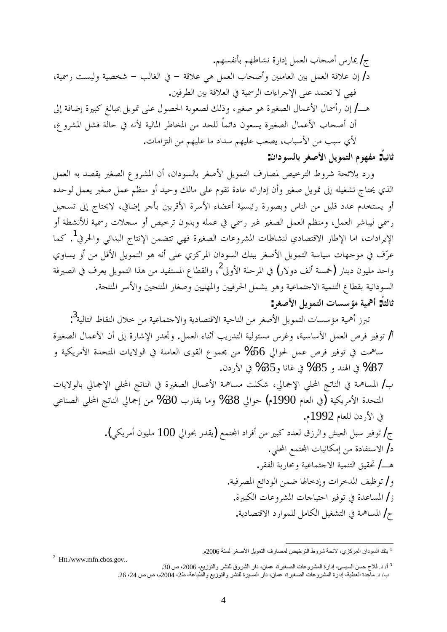.ǶȀLjǨǻƘƥǶȀǗƢnjǻƧǁơƽƛDzǸǠdzơƣƢƸǏƗDžǁƢŻ /Ʊ ƨȈũǁƪLjȈdzȁƨȈǐƼNj –ƤdzƢǤdzơĿ –ƨǫȐǟȆǿ DzǸǠdzơƣƢƸǏƗȁśǴǷƢǠdzơśƥDzǸǠdzơƨǫȐǟǹƛ /ƽ .śǧǂǘdzơśƥƨǫȐǠdzơĿƨȈũǂdzơƩơƔơǂƳȍơȄǴǟƾǸƬǠƫȏȆȀǧ ńƛƨǧƢǓƛƧŚƦǯǢdzƢƦŠDzȇȂŤȄǴǟDZȂǐūơƨƥȂǠǐdzǮdzƿȁ ŚǤǏȂǿƧŚǤǐdzơDZƢǸǟȋơDZƢũƗǁǹƛ /ºǿ ǝȁǂnjŭơDznjǧƨdzƢƷĿǾǻȋƨȈdzƢŭơǂǗƢƼŭơǺǷƾƸǴdzƆƢǸƟơƽǹȂǠLjȇƧŚǤǐdzơDZƢǸǟȋơƣƢƸǏƗǹƗ .ƩƢǷơDŽƬdzơǺǷǶȀȈǴǟƢǷƽơƾLJǶȀȈǴǟƤǠǐȇ ƣƢƦLJȋơǺǷƤƦLJȅȋ **:ǹơƽȂLjdzƢƥǂǤǏȋơDzȇȂǸƬdzơǵȂȀǨǷ :ƆƢȈǻƢƯ**

ورد بلائحة شروط الترخيص لمصارف التمويل الأصغر بالسودان، أن المشروع الصغير يقصد به العمل الذي يحتاج تشغيله إلى قمويل صغير وأن إداراته عادة تقوم على مالك وحيد أو منظم عمل صغير يعمل لوحده أو يستخدم عدد قليل من الناس وبصورة رئيسية أعضاء الأسرة الأقربين بأجر إضافي، لايحتاج إلى تسجيل رسمي ليباشر العمل، ومنظم العمل الصغير غير رسمي في عمله وبدون ترخيص أو سجلات رسمية للأنشطة أو الإيرادات، اما الإطار الاقتصادي لنشاطات المشروعات الصغيرة فهي تتضمن الإنتاج البدائي والحرفي<sup>1</sup>. كما عرّف في موجهات سياسة التمويل الأصغر ببنك السودان المركزي على أنه هو التمويل الأقل من أو يساوي واحد مليون دينار (خمسة ألف دولار) في المرحلة الأولى<sup>2</sup>، والقطاع المستفيد من هذا التمويل يعرف في الصيرفة السودانية بقطاع التنمية الاحتماعية وهو يشمل الحرفيين والمهنيين وصغار المنتجين والأسر المنتجة. ثالثاً: أهمية مؤسسات التمويل الأصغر :

تبرز أهمية مؤسسات التمويل الأصغر من الناحية الاقتصادية والاحتماعية من حلال النقاط التالية<sup>3</sup>: أ/ توفير فرص العمل الأساسية، وغرس مسئولية التدريب أثناء العمل. وتجدر الإشارة إلى أن الأعمال الصغيرة ساهمت في توفير فرص عمل لحوالي 56% من مجموع القوى العاملة في الولايات المتحدة الأمريكية و .ǹƽǁȋơĿ %35ȁƢǻƢǣĿ %85ȁƾǼŮơĿ %87

ب/ المساهمة في الناتج المحلي الإجمالي، شكلت مساهمة الأعمال الصغيرة في الناتج المحلي الإجمالي بالولايات المتحدة الأمريكية (في العام 1990م) حوالي 38% وما يقارب 30% من إجمالي الناتج المحلي الصناعي في الأردن للعام 1992م.

> ج/ توفير سبل العيش والرزق لعدد كبير من أفراد المحتمع (يقدر بحوالي 100 مليون أمريكي). د/ الاستفادة من إمكانيات المجتمع المحلي. هـــ/ تحقيق التنمية الاجتماعية ومحاربة الفقر . و/ توظيف المدحرات وإدحالها ضمن الودائع المصرفية. ز / المساعدة في توفير احتياجات المشروعات الكبيرة. ح/ المساهمة في التشغيل الكامل للموارد الاقتصادية.

<sup>&</sup>lt;sup>1</sup> بنك السودان المركزي، لانحة شروط الترخيص لمصارف التمويل الأصغر لسنة 2006م.

<sup>2</sup> Htt./www.mfn.cbos.gov..

 $^3$ ار د. فلاح حسن السيسى، إدارة المشروعات الصغيرة، عمان، دار الشروق للنشر والتوزيع، 2006، ص 30. ب/ د. ماجدة العطية، إدارة المشروعات الصغيرة، عمان، دار المسيرة للنشر والتوزيع والطّباعة، ط2، 2014م، ص ص 24، 26.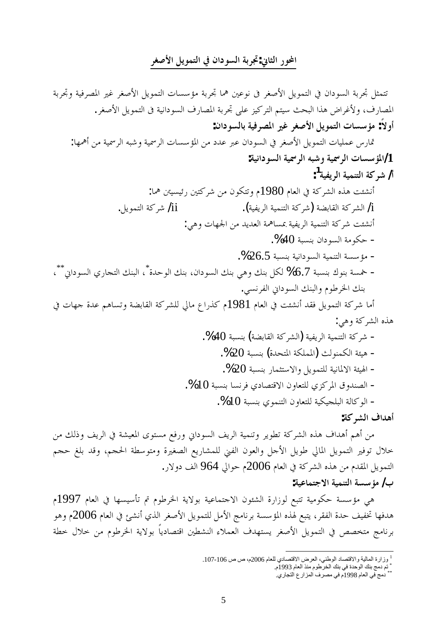### المحور الثاني:تجربة السودان في التمويل الأصغر

ƨƥǂšȁƨȈǧǂǐŭơŚǣǂǤǏȋơDzȇȂǸƬdzơƩƢLjLJƚǷƨƥǂšƢŷśǟȂǻ ľǂǤǏȋơDzȇȂǸƬdzơĿǹơƽȂLjdzơƨƥǂš DzưǸƬƫ .ǂǤǏȋơDzȇȂǸƬdzơľƨȈǻơƽȂLjdzơǥǁƢǐŭơƨƥǂšȄǴǟDŽȈǯǂƬdzơǶƬȈLJƮƸƦdzơơǀǿǑơǂǣȋȁǥǁƢǐŭơ **:ǹơƽȂLjdzƢƥƨȈǧǂǐŭơŚǣǂǤǏȋơDzȇȂǸƬdzơƩƢLjLJƚǷ :ƆȏȁƗ** :ƢȀŷƗǺǷƨȈũǂdzơǾƦNjȁƨȈũǂdzơƩƢLjLJƚŭơǺǷƽƾǟŐǟǹơƽȂLjdzơĿǂǤǏȋơDzȇȂǸƬdzơƩƢȈǴǸǟDžǁƢŤ **:ƨȈǻơƽȂLjdzơƨȈũǂdzơǾƦNjȁƨȈũǂdzơƩƢLjLJƚŭơ/1 ƨȈǨȇǂdzơƨȈǸǼƬdzơƨǯǂNj /Ɨ 1 :** :ƢŷŔȈLjȈƟǁśƬǯǂNjǺǷǹȂǰƬƫȁǵ1980ǵƢǠdzơĿƨǯǂnjdzơǽǀǿƪƠnjǻƗ .DzȇȂǸƬdzơƨǯǂNj /ii .(ƨȈǨȇǂdzơƨȈǸǼƬdzơƨǯǂNj)ƨǔƥƢǬdzơƨǯǂnjdzơ /i :ȆǿȁƩƢȀŪơǺǷƾȇƾǠdzơƨŷƢLjŠƨȈǨȇǂdzơƨȈǸǼƬdzơƨǯǂNjƪƠnjǻƗ .%40ƨƦLjǼƥǹơƽȂLjdzơƨǷȂǰƷ - .%26.5ƨƦLjǼƥƨȈǻơƽȂLjdzơƨȈǸǼƬdzơƨLjLJƚǷ - ƧƾƷȂdzơǮǼƥǹơƽȂLjdzơǮǼƥȆǿȁǮǼƥDzǰdz %6.7ƨƦLjǼƥǭȂǼƥƨLjŨ - \* ňơƽȂLjdzơȅǁƢƴƬdzơǮǼƦdzơ \*\* .ȆLjǻǂǨdzơňơƽȂLjdzơǮǼƦdzơȁǵȂǗǂŬơǮǼƥ ĿƩƢȀƳƧƾǟǶǿƢLjƫȁƨǔƥƢǬdzơƨǯǂnjǴdzŅƢǷǝơǁǀǯǵ1981ǵƢǠdzơĿƪƠnjǻƗƾǬǧDzȇȂǸƬdzơƨǯǂNjƢǷƗ :Ȇǿȁƨǯǂnjdzơǽǀǿ .%40ƨƦLjǼƥ (ƨǔƥƢǬdzơƨǯǂnjdzơ)ƨȈǨȇǂdzơƨȈǸǼƬdzơƨǯǂNj - .%20ƨƦLjǼƥ (ƧƾƸƬŭơƨǰǴǸŭơ)ƮdzȂǼǸǰdzơƨƠȈǿ - .%20ƨƦLjǼƥǁƢǸưƬLJȏơȁDzȇȂǸƬǴdzƨȈǻƢŭȏơƨƠȈŮơ - .%10ƨƦLjǼƥƢLjǻǂǧȅƽƢǐƬǫȏơǹȁƢǠƬǴdzȅDŽǯǂŭơǩȁƾǼǐdzơ - .%10ƨƦLjǼƥȅȂǸǼƬdzơǹȁƢǠƬǴdzƨȈǰȈƴǴƦdzơƨdzƢǯȂdzơ - **:ƨǯǂnjdzơǥơƾǿƗ** ǺǷǮdzƿȁǦȇǂdzơĿƨnjȈǠŭơȃȂƬLjǷǞǧǁȁňơƽȂLjdzơǦȇǂdzơƨȈǸǼƫȁǂȇȂǘƫƨǯǂnjdzơǽǀǿǥơƾǿƗǶǿƗǺǷ

خلال توفير التمويل المالي طويل الأحل والعون الفني للمشاريع الصغيرة ومتوسطة الحجم، وقد بلغ حجم التمويل المقدم من هذه الشركة في العام 2006م حوالي 964 الف دولار. **:ƨȈǟƢǸƬƳȏơƨȈǸǼƬdzơƨLjLJƚǷ /ƣ**

هي مؤسسة حكومية تتبع لوزارة الشئون الاحتماعية بولاية الخرطوم تم تأسيسها في العام 1997م هدفها تخفيف حدة الفقر، يتبع لهذه المؤسسة برنامج الأمل للتمويل الأصغر الذي أنشئ في العام 2006م وهو برنامج متخصص في التمويل الأصغر يستهدف العملاء النشطين اقتصادياً بولاية الخرطوم من حلال حطة

<sup>&</sup>lt;sup>1</sup> وزارة المالية والاقتصاد الوطني، العرض الاقتصادي للعام 2006م، ص ص 106-107.

<sup>ٍّ</sup> تم دمج بنك الوحدة في بنك الخرطوم منذ العام 1993م.<br>\*\* دمج في العام 1998م في مصرف المزارع التجاري.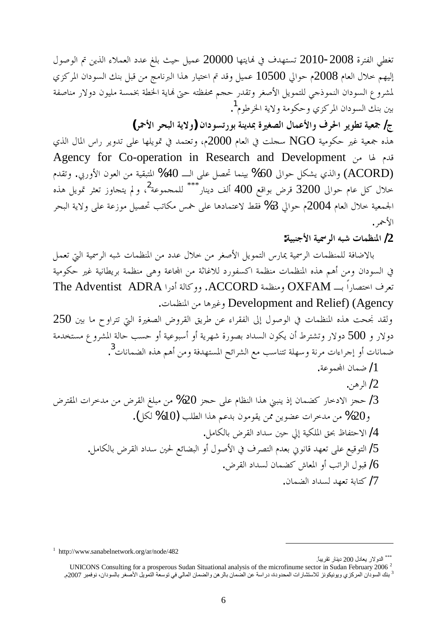تغطي الفترة 2008-2010 تستهدف في نمايتها 20000 عميل حيث بلغ عدد العملاء الذين تم الوصول إليهم خلال العام 2008م حوالي 10500 عميل وقد تم اختيار هذا البرنامج من قبل بنك السودان المركزي لمشروع السودان النموذحي للتمويل الأصغر وتقدر حجم محفظته حتى نماية الخطة بخمسة مليون دولار مناصفة بين بنك السودان المركزي وحكومة ولاية الخرطوم<sup>1</sup>.

ج/ جمعية تطوير الحرف والأعمال الصغيرة بمدينة بورتسودان (ولاية البحر الأحمر) هذه جمعية غير حكومية NGO سجلت في العام 2000م، وتعتمد في تمويلها على تدوير راس المال الذي Agency for Co-operation in Research and Development قدم لها من والذي يشكل حوالي 60% بينما تحصل على الــــ 40% المتبقية من العون الأوربي. وتقدم (ACORD خلال كل عام حوالى 3200 قرض بواقع 400 ألف دينار $^{\ast\ast\ast}$  للمجموعة $^2$ ، ولم يتجاوز تعثر تمويل هذه الجمعية خلال العام 2004م حوالي 3% فقط لاعتمادها على خمس مكاتب تحصيل موزعة على ولاية البحر الأحمر .

**:ƨȈƦǼƳȋơƨȈũǂdzơǾƦNjƩƢǸǜǼŭơ /2**

بالاضافة للمنظمات الرسمية يمارس التمويل الأصغر من خلال عدد من المنظمات شبه الرسمية التي تعمل في السودان ومن أهم هذه المنظمات منظمة اكسفورد للاغاثة من المحاعة وهي منظمة بريطانية غير حكومية تعرف اختصاراً بـــ OXFAM ومنظمة ACCORD. ووكالة أدرا The Adventist ADRA .ƩƢǸǜǼŭơǺǷƢǿŚǣȁ Development and Relief) (Agency

 $250$  ولقد نجحت هذه المنظمات في الوصول إلى الفقراء عن طريق القروض الصغيرة التي تتراوح ما بين دولار و 500 دولار وتشترط أن يكون السداد بصورة شهرية أو أسبوعية أو حسب حالة المشرو ع مستخدمة ضمانات أو إجراءات مرنة وسهلة تتناسب مع الشرائح المستهدفة ومن أهم هذه الضمانات<sup>3</sup>.

ضمان المحموعة.  $\!1$ الہ ہین  $/2$ حجز الادخار كضمان إذ ينبني هذا النظام على حجز 20% من مبلغ القرض من مدخرات المقترض  $/3$ و 20% من مدخرات عضوين ممن يقومون بدعم هذا الطلب (10% لكل). لاحتفاظ بحق الملكية إلى حين سداد القرض بالكامل. ﴿ ل التوقيع على تعهد قانوني بعدم التصرف في الأصول أو البضائع لحين سداد القرض بالكامل. فبول الراتب أو المعاش كضمان لسداد القرض. ⁄ .ǹƢǸǔdzơƽơƾLjdzƾȀǠƫƨƥƢƬǯ /7

<sup>\*\*\*</sup> الدولار يعادل 200 دينار تقريباً.

<sup>1</sup> <http://www.sanabelnetwork.org/ar/node/482>

UNICONS Consulting for a prosperous Sudan Situational analysis of the microfinume sector in Sudan February 2006<sup>2</sup> <sup>3</sup> بنك السودان المركزي ويونيكونز للاستشارات المحدودة، دراسة عن الصمان بالرهن والضمان المالي في توسعة التمويل الأصغر بالسودان، نوفمبر 2007م.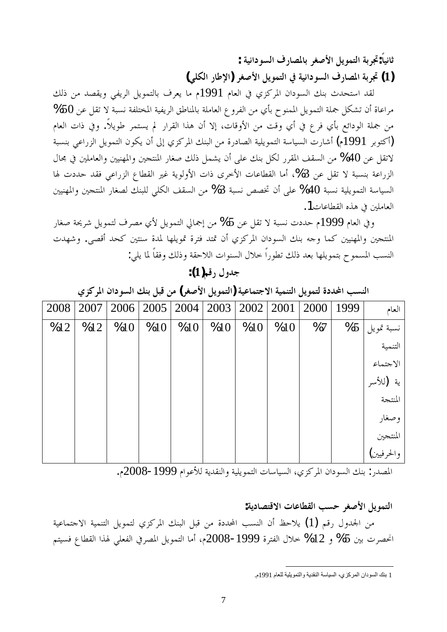**:ƨȈǻơƽȂLjdzơǥǁƢǐŭƢƥǂǤǏȋơDzȇȂǸƬdzơƨƥǂš:ƆƢȈǻƢƯ (ȆǴǰdzơǁƢǗȍơ)ǂǤǏȋơDzȇȂǸƬdzơĿƨȈǻơƽȂLjdzơǥǁƢǐŭơƨƥǂš (1)**

لقد استحدث بنك السودان المركزي في العام 1991م ما يعرف بالتمويل الريفي ويقصد من ذلك %50 مراعاة أن تشكل جملة التمويل الممنوح بأي من الفروع العاملة بالمناطق الريفية المختلفة نسبة لا تقل عن من جملة الودائع بأي فرع في أي وقت من الأوقات، إلا أن هذا القرار لم يستمر طويلاً. وفي ذات العام أكتوبر 1991م) أشارت السياسة التمويلية الصادرة من البنك المركزي إلى أن يكون التمويل الزراعي بنسبة) لاتقل عن 40% من السقف المقرر لكل بنك على أن يشمل ذلك صغار المنتجين والمهنيين والعاملين في مجال الزراعة بنسبة لا تقل عن 3%، أما القطاعات الأخرى ذات الأولوية غير القطاع الزراعي فقد حددت لها السياسة التمويلية نسبة 40% على أن تخصص نسبة 3% من السقف الكلي للبنك لصغار المنتجين والمهنيين العاملين في هذه القطاعات1.

وفي العام 1999م حددت نسبة لا تقل عن 5% من إجمالي التمويل لأي مصرف لتمويل شريحة صغار المنتجين والمهنيين كما وجه بنك السودان المركزي أن تمتد فترة تمويلها لمدة سنتين كحد أقصى. وشهدت النسب المسموح بتمويلها بعد ذلك تطوراً حلال السنوات اللاحقة وذلك وفقاً لما يلي:

# جدول <sub>(</sub>قم(1):

النسب المحددة لتمويل التنمية الاجتماعية (التمويل الأصغر) من قبل بنك السودان المركزي

| 2008 | 2007 | 2006 |     | $2005 \mid 2004 \mid 2003$ |     | 2002 | 2001 | 2000 | 1999 | العام                             |
|------|------|------|-----|----------------------------|-----|------|------|------|------|-----------------------------------|
| %12  | %12  | %10  | %10 | %10                        | %10 | %10  | %10  | %7   | %5   |                                   |
|      |      |      |     |                            |     |      |      |      |      | نسبة تمويل<br>التنمية             |
|      |      |      |     |                            |     |      |      |      |      |                                   |
|      |      |      |     |                            |     |      |      |      |      | الاحتماع<br>ية  (للأسر<br>المنتحة |
|      |      |      |     |                            |     |      |      |      |      |                                   |
|      |      |      |     |                            |     |      |      |      |      | وصغار<br>المنتجين<br>والحرفيين)   |
|      |      |      |     |                            |     |      |      |      |      |                                   |
|      |      |      |     |                            |     |      |      |      |      |                                   |

المصدر : بنك السودان المركزي، السياسات التمويلية والنقدية للأعوام 1999-2008م.

التمويل الأصغر حسب القطاعات الاقتصادية: من الجدول رقم (1) يلاحظ أن النسب المحددة من قبل البنك المركزي لتمويل التنمية الاحتماعية انحصرت بين 5% و 12% خلال الفترة 1999-2008م، أما التمويل المصرفي الفعلي لهذا القطاع فسيتم

<sup>1</sup> بنك السودان المركزي، السياسة النقدية والتمويلية للعام 1991م.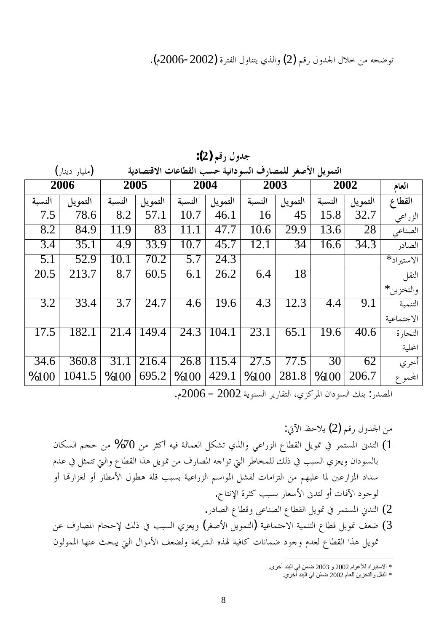توضحه من خلال الجدول رقم (2) والذي يتناول الفترة (2002-2006م).

|                   | (مليار دينار) | التمويل الأصغر للمصارف السودانية حسب القطاعات الاقتصادية |         |        |                    |        |         |        |         |            |
|-------------------|---------------|----------------------------------------------------------|---------|--------|--------------------|--------|---------|--------|---------|------------|
| 2006              |               | 2005                                                     |         | 2004   |                    | 2003   |         | 2002   |         | العام      |
| النسبة            | التمويل       | النسبة                                                   | التمويل | النسبة | التمويل            | النسبة | التمويل | النسبة | التمويل | القطاع     |
| 7.5               | 78.6          | 8.2                                                      | 57.1    | 10.7   | 46.1               | 16     | 45      | 15.8   | 32.7    | الزراعي    |
| 8.2               | 84.9          | 11.9                                                     | 83      | 11.1   | 47.7               | 10.6   | 29.9    | 13.6   | 28      | الصناعي    |
| 3.4               | 35.1          | 4.9                                                      | 33.9    | 10.7   | 45.7               | 12.1   | 34      | 16.6   | 34.3    | الصادر     |
| 5.1               | 52.9          | 10.1                                                     | 70.2    | 5.7    | $\overline{24.3}$  |        |         |        |         | الاستيراد* |
| 20.5              | 213.7         | 8.7                                                      | 60.5    | 6.1    | 26.2               | 6.4    | 18      |        |         | النقل      |
|                   |               |                                                          |         |        |                    |        |         |        |         | والتخزين*  |
| 3.2               | 33.4          | 3.7                                                      | 24.7    | 4.6    | 19.6               | 4.3    | 12.3    | 4.4    | 9.1     | التنمية    |
|                   |               |                                                          |         |        |                    |        |         |        |         | الاجتماعية |
| 17.5              | 182.1         | 21.4                                                     | 149.4   | 24.3   | 104.1              | 23.1   | 65.1    | 19.6   | 40.6    | التجارة    |
|                   |               |                                                          |         |        |                    |        |         |        |         | المحلية    |
| $\overline{34.6}$ | 360.8         | 31.1                                                     | 216.4   | 26.8   | 115.4              | 27.5   | 77.5    | 30     | 62      | أخري       |
| %100              | 1041.5        | %100                                                     | 695.2   | %100   | $\overline{429.1}$ | %100   | 281.8   | %100   | 206.7   | المجموع    |

جدول رقم (2):

المصدر: بنك السودان المركزي، التقارير السنوية 2002 – 2006م.

:ļȉơǚƷȐȇ (2)ǶǫǁDZȁƾŪơǺǷ ǹƢǰLjdzơǶƴƷǺǷ %70ǺǷ ǂưǯƗǾȈǧ ƨdzƢǸǠdzơDzǰnjƫȅǀdzơȁȆǟơǁDŽdzơǝƢǘǬdzơDzȇȂŤĿ ǂǸƬLjŭơŇƾƬdzơ (1 ǵƾǟĿDzưǸƬƫŖdzơȁǝƢǘǬdzơơǀǿDzȇȂŤǺǷǥǁƢǐŭơǾƳơȂƫŖdzơǂǗƢƼǸǴdzǮdzƿĿƤƦLjdzơȅDŽǠȇȁǹơƽȂLjdzƢƥ ȁƗƢēǁơDŽǤdzȁƗ ǁƢǘǷȋơDZȂǘǿƨǴǫƤƦLjƥƨȈǟơǁDŽdzơǶLJơȂŭơDznjǨdzƩƢǷơDŽƬdzơǺǷǶȀȈǴǟƢŭśǟǁơDŽŭơ ƽơƾLJ .ƱƢƬǻȍơƧǂưǯƤƦLjƥǁƢǠLJȋơŇƾƬdzȁƗƩƢǧȉơƽȂƳȂdz .ǁƽƢǐdzơǝƢǘǫȁȆǟƢǼǐdzơǝƢǘǬdzơDzȇȂŤĿǂǸƬLjŭơňƾƬdzơ (2 ǺǟǥǁƢǐŭơǵƢƴƷȍǮdzƿĿƤƦLjdzơȅDŽǠȇȁ (ǂǤǏȋơDzȇȂǸƬdzơ)ƨȈǟƢǸƬƳȏơƨȈǸǼƬdzơǝƢǘǫDzȇȂŤǦǠǓ (3 ǹȂdzȂǸŭơƢȀǼǟƮƸƦȇŖdzơDZơȂǷȋơǦǠǔdzȁƨŹǂnjdzơǽǀŮƨȈǧƢǯƩƢǻƢǸǓƽȂƳȁǵƾǠdzǝƢǘǬdzơơǀǿDzȇȂŤ

\* الاستير اد للأعو ام 2002 و 2003 ضمن في البند أخرى.

<sup>\*</sup> النقل والتخزين للعام 2002 ضمّن في البند أخري.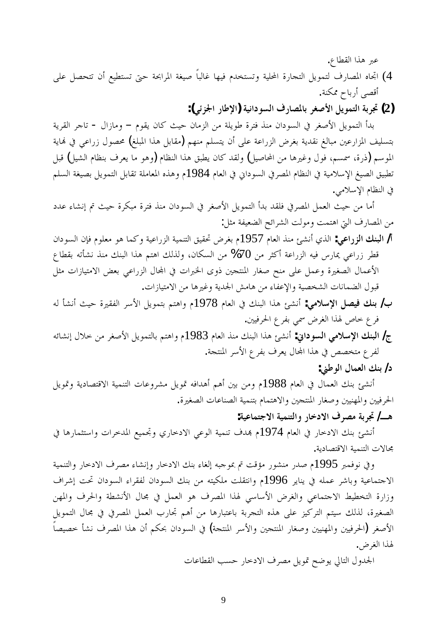عبر هذا القطاع.

- 4) اتجاه المصارف لتمويل التحارة المحلية وتستخدم فيها غالباً صيغة المرابحة حتى تستطيع أن تتحصل على أقصي أرباح ممكنة.
	- **:(ȆƟDŽŪơǁƢǗȍơ)ƨȈǻơƽȂLjdzơǥǁƢǐŭƢƥǂǤǏȋơDzȇȂǸƬdzơƨƥǂš (2)**

بدأ التمويل الأصغر في السودان منذ فترة طويلة من الزمان حيث كان يقوم – ومازال - تاجر القرية بتسليف المزارعين مبالغ نقدية بغرض الزراعة على أن يتسلم منهم (مقابل هذا المبلغ) محصول زراعى في نماية الموسم (ذرة، سمسم، فول وغيرها من المحاصيل) ولقد كان يطبق هذا النظام (وهو ما يعرف بنظام الشيل) قبل تطبيق الصيغ الإسلامية في النظام المصرفي السوداني في العام 1984م وهذه المعاملة تقابل التمويل بصيغة السلم في النظام الإسلامي.

أما من حيث العمل المصرفي فلقد بدأ التمويل الأصغر في السودان منذ فترة مبكرة حيث تم إنشاء عدد من المصارف التي اهتمت ومولت الشرائح الضعيفة مثل:

- أ**/ البنك الزراعي:** الذي أنشئ منذ العام 1957م بغرض تحقيق التنمية الزراعية وكما هو معلوم فإن السودان قطر زراعي يمارس فيه الزراعة أكثر من 70% من السكان، ولذلك اهتم هذا البنك منذ نشأته بقطاع الأعمال الصغيرة وعمل على منح صغار المنتجين ذوى الخبرات في المحال الزراعي بعض الامتيازات مثل قبول الضمانات الشخصية والإعفاء من هامش الجدية وغيرها من الامتيازات.
- ب/ بنك فيصل الإسلامي: أنشئ هذا البنك في العام 1978م واهتم بتمويل الأسر الفقيرة حيث أنشأ له فر ع خاص لهذا الغرض سمي بفر ع الحرفيين.
- ج/ ا**لبنك الإسلامي السوداني:** أنشئ هذا البنك منذ العام 1983م واهتم بالتمويل الأصغر من خلال إنشائه لفر ع متخصص في هذا المحال يعرف بفر ع الأسر المنتجة.
	- **:řǗȂdzơDZƢǸǠdzơǮǼƥ /ƽ**

أنشئ بنك العمال في العام 1988م ومن بين أهم أهدافه تمويل مشروعات التنمية الاقتصادية وتمويل الحرفيين والمهنيين وصغار المنتجين والاهتمام بتنمية الصناعات الصغيرة.

## هـ<mark>ـ/ تجربة مصرف الادخار والتنمية الاجتماعية:</mark>

أنشئ بنك الادخار في العام 1974م بمدف تنمية الوعي الادخاري وتحميع المدخرات واستثمارها في جحالات التنمية الاقتصادية.

وفي نوفمبر 1995م صدر منشور مؤقت تم بموجبه إلغاء بنك الادحار وإنشاء مصرف الادحار والتنمية الاجتماعية وباشر عمله في يناير 1996م وانتقلت ملكيته من بنك السودان لفقراء السودان تحت إشراف وزارة التخطيط الاجتماعي والغرض الأساسي لهذا المصرف هو العمل في مجال الأنشطة والحرف والمهن الصغيرة، لذلك سيتم التركيز على هذه التجربة باعتبارها من أهم تجارب العمل المصرفي في مجال التمويل الأصغر (الحرفيين والمهنيين وصغار المنتجين والأسر المنتجة) في السودان بحكم أن هذا المصرف نشأ خصيصاً لهذا الغرض.

الجدول التالي يوضح تمويل مصرف الادخار حسب القطاعات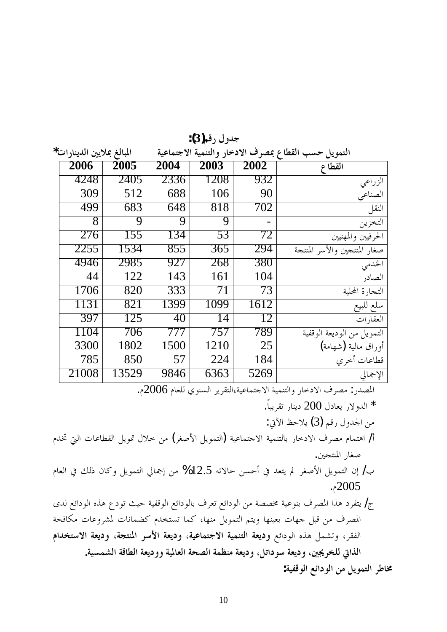| جدول رقم(3): |  |
|--------------|--|
|--------------|--|

| المبالغ بملايين الدينارات* |       |       |      |      |      | التمويل حسب القطاع بمصرف الادخار والتنمية الاجتماعية |
|----------------------------|-------|-------|------|------|------|------------------------------------------------------|
|                            | 2006  | 2005  | 2004 | 2003 | 2002 | القطاع                                               |
|                            | 4248  | 2405  | 2336 | 1208 | 932  | الزراعي                                              |
|                            | 309   | 512   | 688  | 106  | 90   | الصناعي                                              |
|                            | 499   | 683   | 648  | 818  | 702  | النقل                                                |
|                            | 8     | 9     | 9    | 9    |      | التخزين                                              |
|                            | 276   | 155   | 134  | 53   | 72   | الحرفيين والمهنيين                                   |
|                            | 2255  | 1534  | 855  | 365  | 294  | صغار المنتجين والأسر المنتجة                         |
|                            | 4946  | 2985  | 927  | 268  | 380  | الخدمى                                               |
|                            | 44    | 122   | 143  | 161  | 104  | الصادر                                               |
|                            | 1706  | 820   | 333  | 71   | 73   | التجارة المحلية                                      |
|                            | 1131  | 821   | 1399 | 1099 | 1612 | سلع للبيع                                            |
|                            | 397   | 125   | 40   | 14   | 12   | العقار ات                                            |
|                            | 1104  | 706   | 777  | 757  | 789  | التمويل من الوديعة الوقفية                           |
|                            | 3300  | 1802  | 1500 | 1210 | 25   | أوراق مالية (شهامة)                                  |
|                            | 785   | 850   | 57   | 224  | 184  | قطاعات أخرى                                          |
|                            | 21008 | 13529 | 9846 | 6363 | 5269 | الإجمالي                                             |

المصدر: مصرف الادخار والتنمية الاحتماعية،التقرير السنوي للعام 2006م.

.ƆƢƦȇǂǬƫǁƢǼȇƽ 200DZƽƢǠȇǁȏȁƾdzơ \* :ļȉơǚƷȐȇ (3)ǶǫǁDZȁƾŪơǺǷ ǵƾţŖdzơƩƢǟƢǘǬdzơDzȇȂŤDZȐƻǺǷ (ǂǤǏȋơDzȇȂǸƬdzơ)ƨȈǟƢǸƬƳȏơƨȈǸǼƬdzƢƥǁƢƻƽȏơǥǂǐǷǵƢǸƬǿơ /Ɨ .śƴƬǼŭơǁƢǤǏ ǵƢǠdzơĿǮdzƿǹƢǯȁDzȇȂǸƬdzơŅƢŦƛǺǷ %12.5ǾƫȏƢƷǺLjƷƗĿƾǠƬȇŃ ǂǤǏȋơDzȇȂǸƬdzơǹƛ /ƣ .ǵ2005 ȃƾdzǞƟơƽȂdzơǽǀǿǝƽȂƫƮȈƷƨȈǨǫȂdzơǞƟơƽȂdzƢƥǥǂǠƫǞƟơƽȂdzơǺǷƨǐǐűƨȈǟȂǼƥǥǂǐŭơơǀǿƽǂǨƬȇ /Ʊ ƨƸǧƢǰǷƩƢǟȁǂnjŭƩƢǻƢǸǔǯǵƾƼƬLjƫƢǸǯ ƢȀǼǷDzȇȂǸƬdzơǶƬȇȁ ƢȀǼȈǠƥƩƢȀƳDzƦǫǺǷǥǂǐŭơ **ǵơƾƼƬLJȏơƨǠȇƽȁƨƴƬǼŭơ ǂLJȋơƨǠȇƽȁƨȈǟƢǸƬƳȏơƨȈǸǼƬdzơƨǠȇƽȁ** ǞƟơƽȂdzơǽǀǿ DzǸnjƫȁ ǂǬǨdzơ .**ƨȈLjǸnjdzơƨǫƢǘdzơƨǠȇƽȁȁƨȈŭƢǠdzơƨƸǐdzơƨǸǜǼǷƨǠȇƽȁDzƫơƽȂLJƨǠȇƽȁśŸǂƼǴdzļơǀdzơ :ƨȈǨǫȂdzơǞƟơƽȂdzơǺǷDzȇȂǸƬdzơǂǗƢű**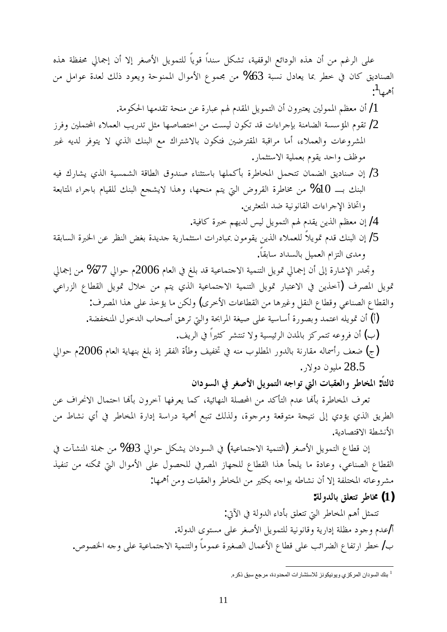على الرغم من أن هذه الودائع الوقفية، تشكل سنداً قوياً للتمويل الأصغر إلا أن إجمالى محفظة هذه الصناديق كان في خطر بما يعادل نسبة 63% من مجموع الأموال الممنوحة ويعود ذلك لعدة عوامل من أه<sub>مها</sub>1.<br>أ

أن معظم الممولين يعتبرون أن التمويل المقدم لهم عبارة عن منحة تقدمها الحكومة.  $/1\,$ 

- ضوم المؤسسة الضامنة بإحراءات قد تكون ليست من اختصاصها مثل تدريب العملاء المحتملين وفرز <mark>/</mark> المشروعات والعملاء، أما مراقبة المقترضين فتكون بالاشتراك مع البنك الذي لا يتوفر لديه غير موظف واحد يقوم بعملية الاستثمار.
- ضناديق الضمان تتحمل المخاطرة بأكملها باستثناء صندوق الطاقة الشمسية الذي يشارك فيه / البنك بـــ 10% من مخاطرة القروض التي يتم منحها، وهذا لايشجع البنك للقيام باحراء المتابعة واتخاذ الإجراءات القانونية ضد المتعثرين.

لم إن معظم الذين يقدم لهم التمويل ليس لديهم حبرة كافية.

لٍّ إن البنك قدم تمويلاً للعملاء الذين يقومون بمبادرات استثمارية جديدة بغض النظر عن الخبرة السابقة / ومدى التزام العميل بالسداد سابقاً.

وتجدر الإشارة إلى أن إجمالي تمويل التنمية الاحتماعية قد بلغ في العام 2006م حوالي 77% من إجمالي قمويل المصرف (أحمذين في الاعتبار قمويل التنمية الاحتماعية الذي يتم من خلال قمويل القطاع الزراعي والقطاع الصناعي وقطاع النقل وغيرها من القطاعات الأخرى) ولكن ما يؤخذ على هذا المصرف: أ) أن تمويله اعتمد وبصورة أساسية على صيغة المرابحة والتي ترهق أصحاب الدحول المنخفضة. ض ان فروعه تتمركز بالمدن الرئيسية ولا تنتشر كثيراً في الريف. خبعف رأسماله مقارنة بالدور المطلوب منه في تخفيف وطأة الفقر إذ بلغ بنهاية العام 2006م حوالي (

28.5 مليون دولار .

ثالثاً: المخاطر والعقبات التي تواجه التمويل الأصغر في السودان

تعرف المخاطرة بألها عدم التأكد من المحصلة النهائية، كما يعرفها آخرون بألها احتمال الانحراف عن الطريق الذي يؤدي إلى نتيجة متوقعة ومرجوة، ولذلك تنبع أهمية دراسة إدارة المخاطر في أي نشاط من الأنشطة الاقتصادىة.

إن قطاع التمويل الأصغر (التنمية الاحتماعية) في السودان يشكل حوالي 93% من جملة المنشآت في القطاع الصناعي، وعادة ما يلحأ هذا القطاع للحهاز المصرفي للحصول على الأموال التي تمكنه من تنفيذ مشروعاته المختلفة إلا أن نشاطه يواجه بكثير من المخاطر والعقبات ومن أهمها:

**:ƨdzȁƾdzƢƥǪǴǠƬƫǂǗƢű (1)**

تتمثل أهم المخاطر التي تتعلق بأداء الدولة في الآتي: أ/عدم وجود مظلة إدارية وقانونية للتمويل الأصغر على مستوى الدولة. ب/ خطر ارتفاع الضرائب على قطاع الأعمال الصغيرة عموماً والتنمية الاجتماعية على وجه الخصوص.

<sup>&</sup>lt;sup>1</sup> بنك السودان المركزي ويونيكونز للاستشارات المحدودة، مرجع سبق ذكره.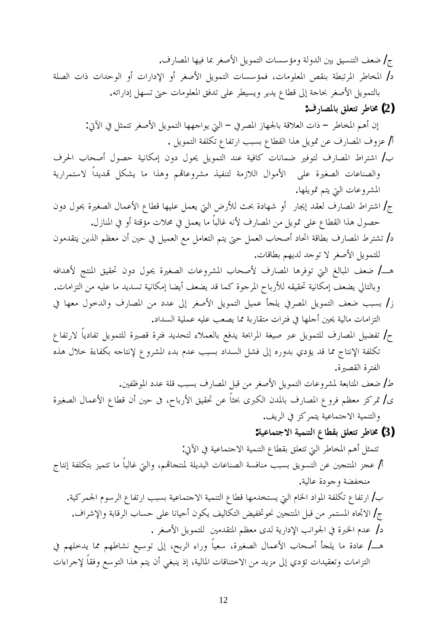ج/ ضعف التنسيق بين الدولة ومؤسسات التمويل الأصغر بما فيها المصارف. د/ المخاطر المرتبطة بنقص المعلومات، فمؤسسات التمويل الأصغر أو الإدارات أو الوحدات ذات الصلة بالتمويل الأصغر بحاحة إلى قطاع يدير ويسيطر على تدفق المعلومات حتى تسهل إداراته. **:ǥǁƢǐŭƢƥǪǴǠƬƫǂǗƢű (2)** إن أهم المخاطر – ذات العلاقة بالجهاز المصرفي – التي يواجهها التمويل الأصغر تتمثل في الآتي: أ/ عزوف المصارف عن تمويل هذا القطاع بسبب ارتفاع تكلفة التمويل . ب/ اشتراط المصارف لتوفير ضمانات كافية عند التمويل يحول دون إمكانية حصول أصحاب الحرف والصناعات الصغيرة على الأموال اللازمة لتنفيذ مشروعاقم وهذا ما يشكل قمديداً لاستمرارية المشروعات التي يتم تمويلها. ج/ اشتراط المصارف لعقد إيجار أو شهادة بحث للأرض التي يعمل عليها قطاع الأعمال الصغيرة يحول دون حصول هذا القطاع على تمويل من المصارف لأنه غالباً ما يعمل في محلات مؤقتة أو في المنازل. د/ تشترط المصارف بطاقة اتحاد أصحاب العمل حتى يتم التعامل مع العميل في حين أن معظم الذين يتقدمون للتمويل الأصغر لا توجد لديهم بطاقات. هـــ/ ضعف المبالغ التي توفرها المصارف لأصحاب المشروعات الصغيرة يحول دون تحقيق المنتج لأهدافه وبالتالي يضعف إمكانية تحقيقه للأرباح المرجوة كما قد يضعف أيضا إمكانية تسديد ما عليه من التزامات. ز/ بسبب ضعف التمويل المصرفي يلجأ عميل التمويل الأصغر إلى عدد من المصارف والدحول معها في التزامات مالية يحين أحملها في فترات متقاربة مما يصعب عليه عملية السداد. ح/ تفضيل المصارف للتمويل عبر صيغة المرابحة يدفع بالعملاء لتحديد فترة قصيرة للتمويل تفادياً لارتفاع تكلفة الإنتاج مما قد يؤدي بدوره إلى فشل السداد بسبب عدم بدء المشروع لإنتاجه بكفاءة حلال هذه الفترة القصبرة. ط/ ضعف المتابعة لمشروعات التمويل الأصغر من قبل المصارف بسبب قلة عدد الموظفين. ى/ تمركز معظم فروع المصارف بالمدن الكبرى بحثاً عن تحقيق الأرباح، فى حين أن قطاع الأعمال الصغيرة والتنمية الاحتماعية يتمركز في الريف. **:ƨȈǟƢǸƬƳȏơƨȈǸǼƬdzơǝƢǘǬƥǪǴǠƬƫǂǗƢű (3)** تتمثل أهم المخاطر التي تتعلق بقطاع التنمية الاجتماعية في الآتي: أ/ عجز المنتجين عن التسويق بسبب منافسة الصناعات البديلة لمنتجاقم، والتي غالباً ما تتميز بتكلفة إنتاج منخفضة وجودة عالية. بُ/ ارتفاع تكلفة المواد الخام التي يستخدمها قطاع التنمية الاجتماعية بسبب ارتفاع الرسوم الجمركية. ج/ الاتجاه المستمر من قبل المنتجين نحو تخفيض التكاليف يكون أحيانا على حساب الرقابة والإشراف. د/ عدم الخبرة في الجوانب الإدارية لدى معظم المتقدمين للتمويل الأصغر . هـــ/ عادة ما يلجأ أصحاب الأعمال الصغيرة، سعياً وراء الربح، إلى توسيع نشاطهم مما يدخلهم في التزامات وتعقيدات تؤدي إلى مزيد من الاختناقات المالية، إذ ينبغي أن يتم هذا التوسع وفقاً لإجراءات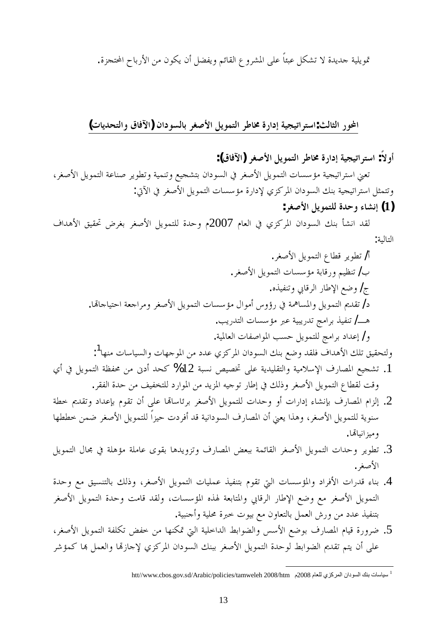تمويلية جديدة لا تشكل عبئاً على المشروع القائم ويفضل أن يكون من الأرباح المحتجزة.

**(ƩƢȇƾƸƬdzơȁ ǩƢǧȉơ)ǹơƽȂLjdzƢƥǂǤǏȋơDzȇȂǸƬdzơǂǗƢűƧǁơƽƛƨȈƴȈƫơǂƬLJơ:ƮdzƢưdzơǁȂƄơ**

أو لاً: استراتيجية إدارة مخاطر التمويل الأصغر (الآفاق):

تعني استراتيجية مؤسسات التمويل الأصغر في السودان بتشجيع وتنمية وتطوير صناعة التمويل الأصغر، وتتمثل استراتيجية بنك السودان المركزي لإدارة مؤسسات التمويل الأصغر في الآتي:  **:ǂǤǏȋơDzȇȂǸƬǴdzƧƾƷȁƔƢnjǻƛ (1)**

لقد انشأ بنك السودان المركزي في العام 2007م وحدة للتمويل الأصغر بغرض تحقيق الأهداف التالية:

.ǂǤǏȋơDzȇȂǸƬdzơǝƢǘǫǂȇȂǘƫ /Ɨ .ǂǤǏȋơDzȇȂǸƬdzơƩƢLjLJƚǷƨƥƢǫǁȁǶȈǜǼƫ /ƣ .ǽǀȈǨǼƫȁĺƢǫǂdzơǁƢǗȍơǞǓȁ /Ʊ .ƢēƢƳƢȈƬƷơƨǠƳơǂǷȁǂǤǏȋơDzȇȂǸƬdzơƩƢLjLJƚǷDZơȂǷƗDžȁƙǁĿƨŷƢLjŭơȁDzȇȂǸƬdzơ'nƾǬƫ /ƽ .ƤȇǁƾƬdzơƩƢLjLJƚǷ ŐǟƨȈƦȇǁƾƫƲǷơǂƥǀȈǨǼƫ /ºǿ .ƨȈŭƢǠdzơƩƢǨǏơȂŭơƤLjƷDzȇȂǸƬǴdzƲǷơǂƥƽơƾǟƛ /ȁ

- ولتحقيق تلك الأهداف فلقد وضع بنك السودان المركزي عدد من الموجهات والسياسات منها<sup>1</sup>: . تشجيع المصارف الإسلامية والتقليدية على تخصيص نسبة 12% كحد أدبن من محفظة التمويل في أي وقت لقطاع التمويل الأصغر وذلك في إطار توجيه المزيد من الموارد للتخفيف من حدة الفقر.
- . إلزام المصارف بإنشاء إدارات أو وحدات للتمويل الأصغر برئاساقما على أن تقوم بإعداد وتقديم حطة سنوية للتمويل الأصغر، وهذا يعني أن المصارف السودانية قد أفردت حيزاً للتمويل الأصغر ضمن خططها وميزانياڭما.
- وَجْدِ تطوير وحدات التمويل الأصغر القائمة ببعض المصارف وتزويدها بقوى عاملة مؤهلة في مجال التمويل. الأصغر .
- 4. بناء قدرات الأفراد والمؤسسات التي تقوم بتنفيذ عمليات التمويل الأصغر، وذلك بالتنسيق مع وحدة التمويل الأصغر مع وضع الإطار الرقابي والمتابعة لهذه المؤسسات، ولقد قامت وحدة التمويل الأصغر بتنفيذ عدد من ورش العمل بالتعاون مع بيوت خبرة محلية وأحنبية.
- 5. ضرورة قيام المصارف بوضع الأسس والضوابط الداحلية التي تمكنها من خفض تكلفة التمويل الأصغر، على أن يتم تقديم الضوابط لوحدة التمويل الأصغر ببنك السودان المركزي لإجازقما والعمل ها كمؤشر

<sup>1</sup> سياسات بنك السودان المركزي للعام 2008م htt//www.cbos.gov.sd/Arabic/policies/tamweleh 2008/htm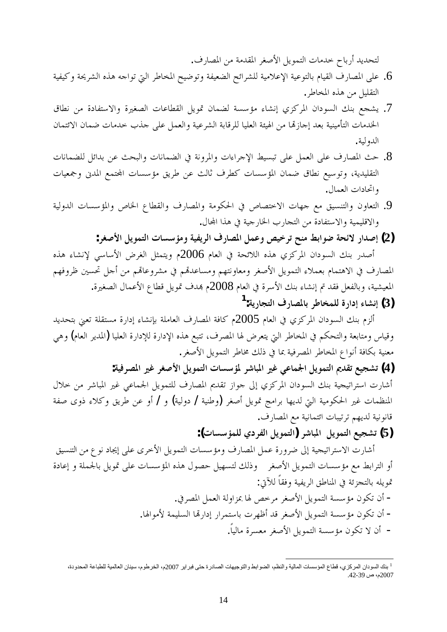لتحديد أرباح حدمات التمويل الأصغر المقدمة من المصارف.

- ون على المصارف القيام بالتوعية الإعلامية للشرائح الضعيفة وتوضيح المخاطر التي تواجه هذه الشريحة وكيفية . التقليل من هذه المخاطر.
- 7. يشجع بنك السودان المركزي إنشاء مؤسسة لضمان تمويل القطاعات الصغيرة والاستفادة من نطاق الخدمات التأمينية بعد إجازتما من الهيئة العليا للرقابة الشرعية والعمل على جذب خدمات ضمان الائتمان الدولية.
- حث المصارف على العمل على تبسيط الإحراءات والمرونة في الضمانات والبحث عن بدائل للضمانات . التقليدية، وتوسيع نطاق ضمان المؤسسات كطرف ثالث عن طريق مؤسسات المحتمع المدني وجمعيات واتحادات العمال.
- و. التعاون والتنسيق مع جهات الاختصاص في الحكومة والمصارف والقطاع الخاص والمؤسسات الدولية والاقليمية والاستفادة من التجارب الخارجية في هذا المحال.
	- **:ǂǤǏȋơDzȇȂǸƬdzơƩƢLjLJƚǷȁƨȈǨȇǂdzơǥǁƢǐŭơDzǸǟȁǎȈƻǂƫƶǼǷǖƥơȂǓƨƸƟȏǁơƾǏƛ (2)**

أصدر بنك السودان المركزي هذه اللائحة في العام 2006م ويتمثل الغرض الأساسي لإنشاء هذه المصارف في الاهتمام بعملاء التمويل الأصغر ومعاونتهم ومساعدقم في مشروعاقمم من أحل تحسين ظروفهم المعيشية، وبالفعل فقد تم إنشاء بنك الأسرة في العام 2008م بمدف تمويل قطاع الأعمال الصغيرة. **:ƨȇǁƢƴƬdzơǥǁƢǐŭƢƥǂǗƢƼǸǴdzƧǁơƽƛƔƢnjǻƛ (3) 1**

ألزم بنك السودان المركزي في العام 2005م كافة المصارف العاملة بإنشاء إدارة مستقلة تعني بتحديد وقياس ومتابعة والتحكم في المخاطر التي يتعرض لها المصرف، تتبع هذه الإدارة للإدارة العليا (المدير العام) وهي معنية بكافة أنواع المخاطر المصرفية بما في ذلك مخاطر التمويل الأصغر.

**:ƨȈǧǂǐŭơŚǣǂǤǏȋơDzȇȂǸƬdzơ ƩƢLjLJƚŭǂNjƢƦŭơŚǣȆǟƢǸŪơDzȇȂǸƬdzơ 'nƾǬƫǞȈƴnjƫ (4)** أشارت استراتيجية بنك السودان المركزي إلى جواز تقديم المصارف للتمويل الجماعي غير المباشر من حلال المنظمات غير الحكومية التي لديها برامج تمويل أصغر (وطنية / دولية) و / أو عن طريق وكلاء ذوى صفة قانونية لديهم ترتيبات ائتمانية مع المصارف.

**:(ƩƢLjLJƚǸǴdzȅƽǂǨdzơ DzȇȂǸƬdzơ)ǂNjƢƦŭơ DzȇȂǸƬdzơǞȈƴnjƫ (5)**

أشارت الاستراتيجية إلى ضرورة عمل المصارف ومؤسسات التمويل الأخرى على إيجاد نوع من التنسيق أو الترابط مع مؤسسات التمويل الأصغر وذلك لتسهيل حصول هذه المؤسسات على تمويل بالجملة و إعادة قمويله بالتجزئة في المناطق الريفية وفقاً للآتي:

> − أن تكون مؤسسة التمويل الأصغر مرخص لها بمزاولة العمل المصرفي. − أن تكون مؤسسة التمويل الأصغر قد أظهرت باستمرار إدارتها السليمة لأموالها. – أن لا تكون مؤسسة التمويل الأصغر معسرة مالياً.

<sup>&</sup>lt;sup>1</sup> بنك السودان المركزي، قطاع المؤسسات المالية والنظم، الضوابط والتوجيهلت الصادرة حتى فبراير 2007م، الخرطوم، سينان العالمية للطباعة المحدودة، 2007م، ص 39-42.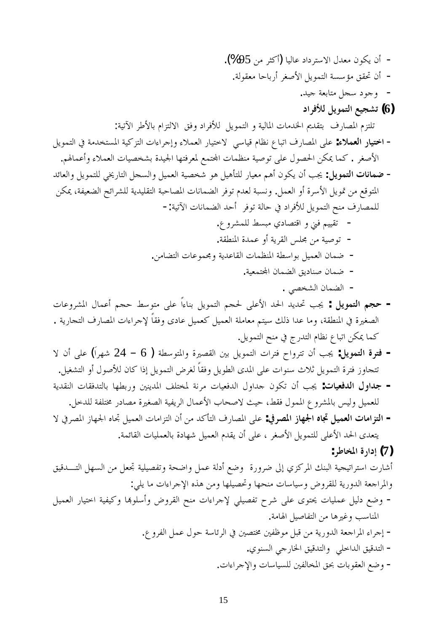.(%95ǺǷǂưǯƗ)ƢȈdzƢǟƽơƽǂƬLJȏơDZƾǠǷǹȂǰȇǹƗ - .ƨdzȂǬǠǷ ƢƷƢƥǁƗǂǤǏȋơDzȇȂǸƬdzơƨLjLJƚǷǪǬŢǹƗ - .ƾȈƳƨǠƥƢƬǷDzƴLJƽȂƳȁ **ƽơǂǧȌdz DzȇȂǸƬdzơǞȈƴnjƫ (6)** :ƨȈƫȉơ ǂǗȋƢƥǵơDŽƬdzȏơ ǪǧȁƽơǂǧȌdz DzȇȂǸƬdzơȁƨȈdzƢŭơƩƢǷƾŬơ'nƾǬƬƥ ǥǁƢǐŭơǵDŽƬǴƫ DzȇȂǸƬdzơĿƨǷƾƼƬLjŭơƨȈǯDŽƬdzơƩơƔơǂƳƛȁƔȐǸǠdzơǁƢȈƬƻȏ ȆLJƢȈǫ ǵƢǜǻǝƢƦƫơǥǁƢǐŭơȄǴǟ **:ƔȐǸǠdzơǁƢȈƬƻơ** - .ǶŮƢǸǟƗȁƔȐǸǠdzơƩƢȈǐƼnjƥƧƾȈŪơƢȀƬǧǂǠŭǞǸƬĐơƩƢǸǜǼǷƨȈǏȂƫȄǴǟDZȂǐūơ ǺǰŻƢǸǯ .ǂǤǏȋơ ƾƟƢǠdzơȁDzȇȂǸƬǴdzȆźǁƢƬdzơDzƴLjdzơȁDzȈǸǠdzơƨȈǐƼNjȂǿDzȈǿƘƬǴdz ǁƢȈǠǷǶǿƗǹȂǰȇǹƗƤŸ **:DzȇȂǸƬdzơƩƢǻƢǸǓ** - ǺǰŻƨǨȈǠǔdzơƶƟơǂnjǴdzƨȇƾȈǴǬƬdzơƨƦƷƢǐŭơƩƢǻƢǸǔdzơǂǧȂƫǵƾǠdzƨƦLjǻȁ .DzǸǠdzơȁƗ ƧǂLJȋơDzȇȂŤǺǷǞǫȂƬŭơ -:ƨȈƫȉơ ƩƢǻƢǸǔdzơƾƷƗ ǂǧȂƫƨdzƢƷĿƽơǂǧȌdzDzȇȂǸƬdzơƶǼǷǥǁƢǐǸǴdz .ǝȁǂnjǸǴdzǖLjƦǷȅƽƢǐƬǫơ ȁřǧǶȈȈǬƫ - .ƨǬǘǼŭơƧƾǸǟȁƗƨȇǂǬdzơ džǴůǺǷƨȈǏȂƫ - .ǺǷƢǔƬdzơƩƢǟȂǸůȁ ƨȇƾǟƢǬdzơƩƢǸǜǼŭơƨǘLJơȂƥDzȈǸǠdzơǹƢǸǓ - .ƨȈǠǸƬĐơ ǹƢǸǔdzơǪȇƽƢǼǏǹƢǸǓ - . ȆǐƼnjdzơǹƢǸǔdzơ - ƩƢǟȁǂnjŭơ DZƢǸǟƗ ǶƴƷ ǖLJȂƬǷȄǴǟ ƆơƔƢǼƥ DzȇȂǸƬdzơ ǶƴūȄǴǟȋơ ƾūơ ƾȇƾŢ ƤŸ **: DzȇȂǸƬdzơ ǶƴƷ -** .ƨȇǁƢƴƬdzơǥǁƢǐŭơƩơƔơǂƳȍƆƢǬǧȁȃƽƢǟDzȈǸǠǯDzȈǸǠdzơ ƨǴǷƢǠǷǶƬȈLJǮdzƿơƾǟƢǷȁƨǬǘǼŭơĿƧŚǤǐdzơ .DzȇȂǸƬdzơƶǼǷĿ ƱǁƾƬdzơǵƢǜǻǝƢƦƫơǺǰŻƢǸǯ ȏǹƗȄǴǟ (ƊơǂȀNj 24 – 6 )ƨǘLJȂƬŭơȁƧŚǐǬdzơśƥDzȇȂǸƬdzơ ƩơǂƬǧƵơȁǂƬƫǹƗƤŸ **:DzȇȂǸƬdzơƧǂƬǧ -** .DzȈǤnjƬdzơȁƗDZȂǏȌdzǹƢǯơƿƛDzȇȂǸƬdzơǑǂǤdzƆƢǬǧȁDzȇȂǘdzơȃƾŭơȄǴǟƩơȂǼLJƭȐƯ DzȇȂǸƬdzơƧǂƬǧǃȁƢƴƬƫ ƨȇƾǬǼdzơƩƢǬǧƾƬdzƢƥ ƢȀǘƥǁȁ śǼȇƾŭơ ǦǴƬƼŭƨǻǂǷƩƢȈǠǧƾdzơ DZȁơƾƳ ǹȂǰƫ ǹƗ ƤŸ **:ƩƢȈǠǧƾdzơDZȁơƾƳ -** .DzƻƾǴdzƨǨǴƬűǁƽƢǐǷƧŚǤǐdzơƨȈǨȇǂdzơDZƢǸǟȋơƣƢƸǏȏƮȈƷǖǬǧDZȂǸŭơ ǝȁǂnjŭƢƥdžȈdzȁDzȈǸǠǴdz ȏĿǂǐŭơǃƢȀŪơǽƢšDzȈǸǠdzơƩƢǷơDŽƬdzơǹƗǺǷƾǯƘƬdzơǥǁƢǐŭơȄǴǟ **:ĿǂǐŭơǃƢȀŪơǽƢšDzȈǸǠdzơƩƢǷơDŽƬdzơ -** .ƨǸƟƢǬdzơƩƢȈǴǸǠdzƢƥƧƽƢȀNjDzȈǸǠdzơǵƾǬȇǹƗȄǴǟǂǤǏȋơDzȇȂǸƬǴdzȄǴǟȋơ ƾūơȃƾǠƬȇ **:ǂǗƢƼŭơƧǁơƽƛ (7)** ǪȈǫƾºƬdzơDzȀLjdzơǺǷDzǠšƨȈǴȈǐǨƫȁƨƸǓơȁDzǸǟƨdzƽƗǞǓȁ ƧǁȁǂǓńƛȅDŽǯǂŭơǮǼƦdzơƨȈƴȈƫơǂƬLJơƩǁƢNjƗ :ȆǴȇƢǷƩơƔơǂƳȍơǽǀǿǺǷȁƢȀǴȈǐŢȁƢȀƸǼǷƩƢLJƢȈLJȁ ǑȁǂǬǴdzƨȇǁȁƾdzơƨǠƳơǂŭơȁ DzȈǸǠdzơǁƢȈƬƻơƨȈǨȈǯȁƢđȂǴLJƗȁǑȁǂǬdzơƶǼǷƩơƔơǂƳȍ ȆǴȈǐǨƫƵǂNjȄǴǟȃȂƬŹƩƢȈǴǸǟDzȈdzƽǞǓȁ - .ƨǷƢŮơ DzȈǏƢǨƬdzơǺǷƢǿŚǣȁƤLJƢǼŭơ .ǝȁǂǨdzơDzǸǟDZȂƷƨLJƢƟǂdzơĿśǐƬűśǨǛȂǷDzƦǫǺǷƨȇǁȁƾdzơƨǠƳơǂŭơƔơǂƳƛ - .ȅȂǼLjdzơȆƳǁƢŬơǪȈǫƾƬdzơȁ ȆǴƻơƾdzơǪȈǫƾƬdzơ - .ƩơƔơǂƳȍơȁ ƩƢLJƢȈLjǴdzśǨdzƢƼŭơǪŞƩƢƥȂǬǠdzơǞǓȁ -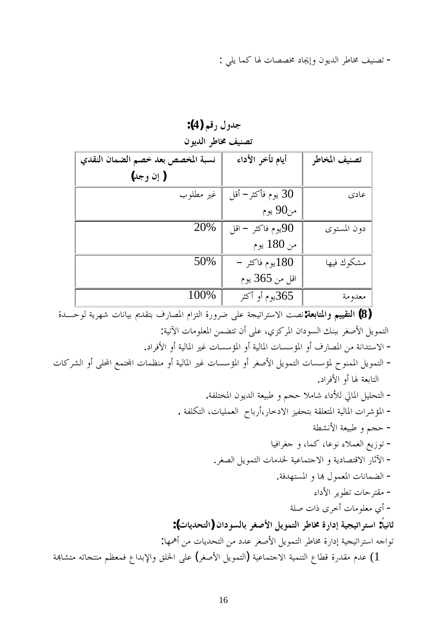- تصنيف مخاطر الديون وإيجاد مخصصات لها كما يلي :

| تصنيف مخاطر الديون                |                         |               |  |  |  |  |
|-----------------------------------|-------------------------|---------------|--|--|--|--|
| نسبة المخصص بعد خصم الضمان النقدي | أيام تأخر الأداء        | تصنيف المخاطر |  |  |  |  |
| ( إن وجد)                         |                         |               |  |  |  |  |
| غير مطلوب                         | 30 يوم فأكثر– أقل       | عادى          |  |  |  |  |
|                                   | من90 يوم                |               |  |  |  |  |
| 20%                               | يوم فاكثر – اقل $90$    | دون المستوى   |  |  |  |  |
|                                   | من 180 يوم              |               |  |  |  |  |
| 50%                               | $-$ 180 يوم فاكثر $180$ | مشكوك فيها    |  |  |  |  |
|                                   | اقل من 365 يوم          |               |  |  |  |  |
| 100%                              | 365يوم أو أكثر          | معدومة        |  |  |  |  |

جدول رقم (4):

قضي التقييم والمتابعة:نصت الاستراتيجة على ضرورة التزام المصارف بتقديم بيانات شهرية لوحـــدة **(** التمويل الأصغر ببنك السودان المركزي، على أن تتضمن المعلومات الآتية: – الاستدانة من المصارف أو المؤسسات المالية أو المؤسسات غير المالية أو الأفراد.

− التمويل الممنوح لمؤسسات التمويل الأصغر أو المؤسسات غير المالية أو منظمات المحتمع المحلي أو الشركات التابعة لها أو الأفراد.

.ƨǨǴƬƼŭơǹȂȇƾdzơ ƨǠȈƦǗȁǶƴƷȐǷƢNjƔơƽȌdzŅƢŭơDzȈǴƸƬdzơ - . ƨǨǴǰƬdzơƩƢȈǴǸǠdzơ ƵƢƥǁƗǁƢƻƽȏơ DŽȈǨƸƬƥƨǬǴǠƬŭơƨȈdzƢŭơƩơǂNjƚŭơ ƨǘnjǻȋơƨǠȈƦǗȁǶƴƷ - ƢȈǧơǂǤƳ ȁƢǸǯƢǟȂǻƔȐǸǠdzơǞȇǃȂƫ - .ǂǤǐdzơDzȇȂǸƬdzơ ƩƢǷƾŬƨȈǟƢǸƬƳȏơȁƨȇƽƢǐƬǫȏơǁƢƯȉơ - .ƨǧƾȀƬLjŭơȁƢđDZȂǸǠŭơƩƢǻƢǸǔdzơ - Ɣơƽȋơ ǂȇȂǘƫƩƢƷǂƬǬǷ ƨǴǏƩơƿȃǂƻƗƩƢǷȂǴǠǷȅƗ - **:(ƩƢȇƾƸƬdzơ)ǹơƽȂLjdzƢƥǂǤǏȋơDzȇȂǸƬdzơǂǗƢűƧǁơƽƛƨȈƴȈƫơǂƬLJơ :ƆƢȈǻƢƯ** :ƢȀŷƗǺǷƩƢȇƾƸƬdzơǺǷƽƾǟǂǤǏȋơDzȇȂǸƬdzơǂǗƢűƧǁơƽƛƨȈƴȈƫơǂƬLJơǾƳơȂƫ

 $\,$ عدم مقدرة قطاع التنمية الاجتماعية (التمويل الأصغر) على الخلق والإبداع فمعظم منتحاته متشابهة  $(1$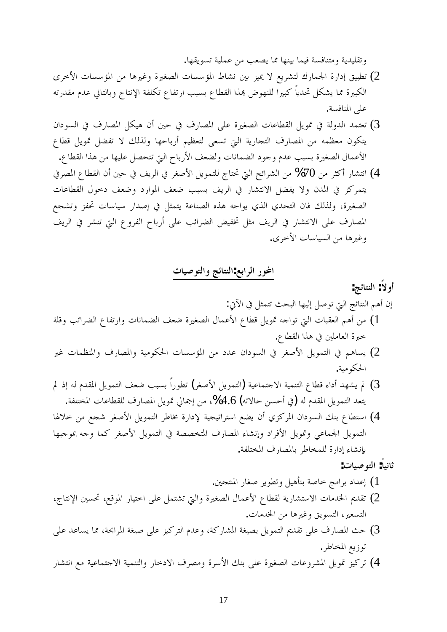وتقليدية ومتنافسة فيما بينها مما يصعب من عملية تسويقها.

- ے تطبيق إدارة الجمارك لتشريع لا يميز بين نشاط المؤسسات الصغيرة وغيرها من المؤسسات الأخرى (2 الكبيرة مما يشكل تحدياً كبيرا للنهوض بمذا القطاع بسبب ارتفاع تكلفة الإنتاج وبالتالي عدم مقدرته على المنافسة.
- 3) تعتمد الدولة في تمويل القطاعات الصغيرة على المصارف في حين أن هيكل المصارف في السودان يتكون معظمه من المصارف التجارية التي تسعى لتعظيم أرباحها ولذلك لا تفضل تمويل قطاع الأعمال الصغيرة بسبب عدم وجود الضمانات ولضعف الأرباح التي تتحصل عليها من هذا القطاع.
- 4) انتشار أكثر من 70% من الشرائح التي تحتاج للتمويل الأصغر في الريف في حين أن القطاع المصرفي يتمركز في المدن ولا يفضل الانتشار في الريف بسبب ضعف الموارد وضعف دحول القطاعات الصغيرة، ولذلك فان التحدي الذي يواحه هذه الصناعة يتمثل في إصدار سياسات تحفز وتشجع المصارف على الانتشار في الريف مثل تخفيض الضرائب على أرباح الفروع التي تنشر في الريف وغيرها من السياسات الأحرى.

المحور الرابع:النتائج والتوصيات

- أولاً: النتائج: إن أهم النتائج التي توصل إليها البحث تتمثل في الآتي: أ) من أهم العقبات التي تواحه تمويل قطاع الأعمال الصغيرة ضعف الضمانات وارتفاع الضرائب وقلة خبرة العاملين في هذا القطاع. كي يساهم في التمويل الأصغر في السودان عدد من المؤسسات الحكومية والمصارف والمنظمات غير (2
- الحكومية.  $\beta$ لم يشهد أداء قطاع التنمية الاحتماعية (التمويل الأصغر) تطوراً بسبب ضعف التمويل المقدم له إذ لم

يتعد التمويل المقدم له (في أحسن حالاته) 4.6%، من إجمالي تمويل المصارف للقطاعات المختلفة.

4) استطاع بنك السودان المركزي أن يضع استراتيجية لإدارة مخاطر التمويل الأصغر شجع من خلالها التمويل الجماعي وتمويل الأفراد وإنشاء المصارف المتخصصة في التمويل الأصغر كما وجه بموجبها بإنشاء إدارة للمخاطر بالمصارف المختلفة.

**:ƩƢȈǏȂƬdzơ :ƆƢȈǻƢƯ**

- ) إعداد برامج خاصة بتأهيل وتطوير صغار المنتجين.
- ً تقديم الحدمات الاستشارية لقطاع الأعمال الصغيرة والتي تشتمل على اختيار الموقع، تحسين الإنتاج، (2 التسعير، التسويق وغيرها من الخدمات.
- $\beta$ حث المصارف على تقديم التمويل بصيغة المشاركة، وعدم التركيز على صيغة المرابحة، مما يساعد على توزيع المخاطر .
- لُم) تركيز تمويل المشروعات الصغيرة على بنك الأسرة ومصرف الادخار والتنمية الاجتماعية مع انتشار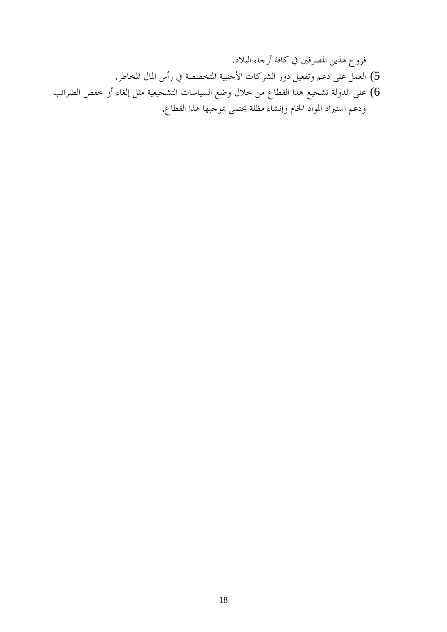.ƽȐƦdzơƔƢƳǁƗƨǧƢǯĿśǧǂǐŭơǺȇǀŮǝȁǂǧ .ǂǗƢƼŭơDZƢŭơDžƗǁĿƨǐǐƼƬŭơƨȈƦǼƳȋơƩƢǯǂnjdzơǁȁƽDzȈǠǨƫȁǶǟƽȄǴǟDzǸǠdzơ (5 ƤƟơǂǔdzơǒǨƻȁƗƔƢǤdzƛDzưǷƨȈǠȈƴnjƬdzơƩƢLJƢȈLjdzơǞǓȁDZȐƻǺǷǝƢǘǬdzơơǀǿǞȈƴnjƫƨdzȁƾdzơȄǴǟ (6 .ǝƢǘǬdzơơǀǿƢȀƦƳȂŠȆǸƬŹƨǴǜǷƔƢnjǻƛȁǵƢŬơƽơȂŭơƽơŚƬLJơǶǟƽȁ